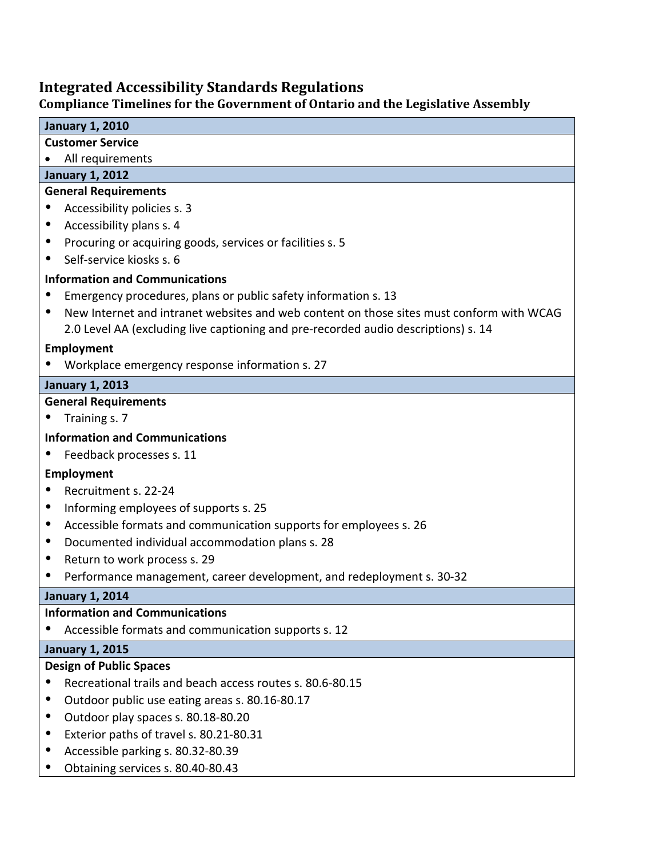# **Integrated Accessibility Standards Regulations**

# **Compliance Timelines for the Government of Ontario and the Legislative Assembly**

| <b>January 1, 2010</b>                                                                                |
|-------------------------------------------------------------------------------------------------------|
| <b>Customer Service</b>                                                                               |
| All requirements                                                                                      |
| <b>January 1, 2012</b>                                                                                |
| <b>General Requirements</b>                                                                           |
| Accessibility policies s. 3<br>$\bullet$                                                              |
| Accessibility plans s. 4<br>$\bullet$                                                                 |
| Procuring or acquiring goods, services or facilities s. 5<br>$\bullet$                                |
| Self-service kiosks s. 6<br>٠                                                                         |
| <b>Information and Communications</b>                                                                 |
| Emergency procedures, plans or public safety information s. 13                                        |
| New Internet and intranet websites and web content on those sites must conform with WCAG<br>$\bullet$ |
| 2.0 Level AA (excluding live captioning and pre-recorded audio descriptions) s. 14                    |
| Employment                                                                                            |
| Workplace emergency response information s. 27                                                        |
| <b>January 1, 2013</b>                                                                                |
| <b>General Requirements</b>                                                                           |
| Training s. 7                                                                                         |
| <b>Information and Communications</b>                                                                 |
| Feedback processes s. 11                                                                              |
| Employment                                                                                            |
| Recruitment s. 22-24                                                                                  |
| Informing employees of supports s. 25<br>٠                                                            |
| Accessible formats and communication supports for employees s. 26<br>$\bullet$                        |
| Documented individual accommodation plans s. 28<br>$\bullet$                                          |
| Return to work process s. 29<br>$\bullet$                                                             |
| Performance management, career development, and redeployment s. 30-32<br>$\bullet$                    |
| <b>January 1, 2014</b>                                                                                |
| <b>Information and Communications</b>                                                                 |
| Accessible formats and communication supports s. 12<br>$\bullet$                                      |
| <b>January 1, 2015</b>                                                                                |
| <b>Design of Public Spaces</b>                                                                        |
| Recreational trails and beach access routes s. 80.6-80.15<br>$\bullet$                                |
| Outdoor public use eating areas s. 80.16-80.17<br>$\bullet$                                           |
| Outdoor play spaces s. 80.18-80.20<br>$\bullet$                                                       |
| Exterior paths of travel s. 80.21-80.31                                                               |
| Accessible parking s. 80.32-80.39<br>٠                                                                |
| Obtaining services s. 80.40-80.43                                                                     |